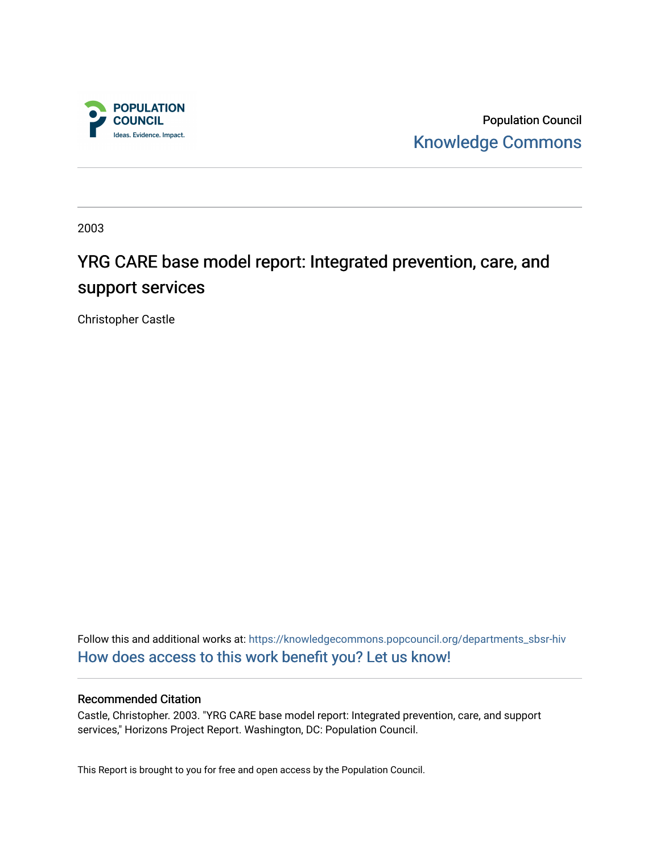

Population Council [Knowledge Commons](https://knowledgecommons.popcouncil.org/) 

2003

# YRG CARE base model report: Integrated prevention, care, and support services

Christopher Castle

Follow this and additional works at: [https://knowledgecommons.popcouncil.org/departments\\_sbsr-hiv](https://knowledgecommons.popcouncil.org/departments_sbsr-hiv?utm_source=knowledgecommons.popcouncil.org%2Fdepartments_sbsr-hiv%2F691&utm_medium=PDF&utm_campaign=PDFCoverPages) [How does access to this work benefit you? Let us know!](https://pcouncil.wufoo.com/forms/open-access-to-population-council-research/)

# Recommended Citation

Castle, Christopher. 2003. "YRG CARE base model report: Integrated prevention, care, and support services," Horizons Project Report. Washington, DC: Population Council.

This Report is brought to you for free and open access by the Population Council.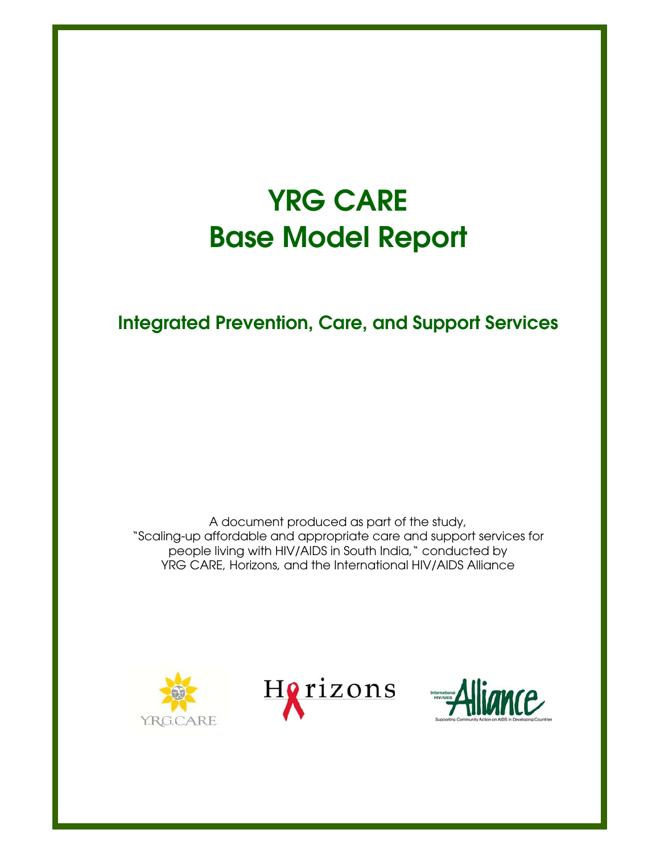# **YRG CARE Base Model Report**

**Integrated Prevention, Care, and Support Services**

A document produced as part of the study, "Scaling-up affordable and appropriate care and support services for people living with HIV/AIDS in South India," conducted by YRG CARE, Horizons, and the International HIV/AIDS Alliance





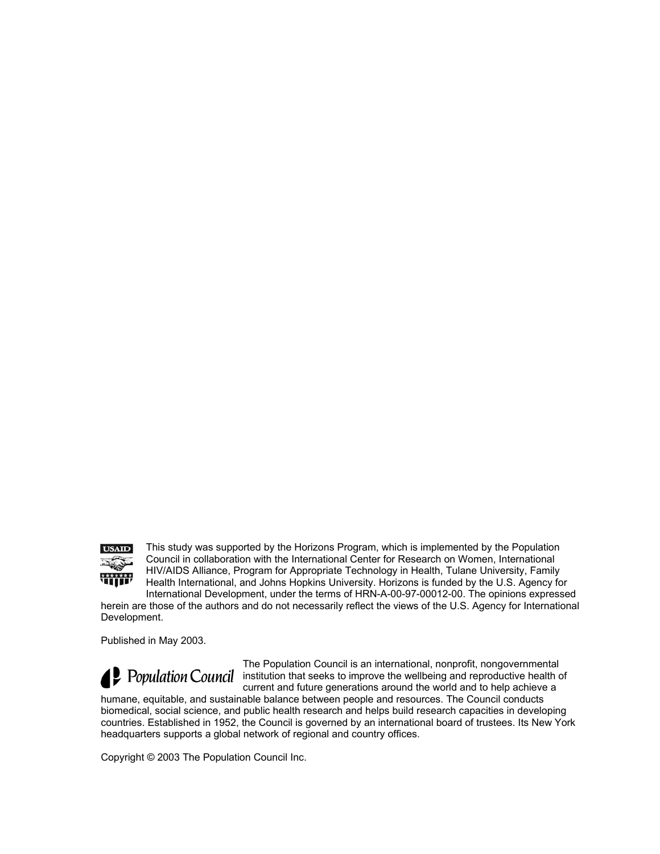

This study was supported by the Horizons Program, which is implemented by the Population Council in collaboration with the International Center for Research on Women, International HIV/AIDS Alliance, Program for Appropriate Technology in Health, Tulane University, Family Health International, and Johns Hopkins University. Horizons is funded by the U.S. Agency for International Development, under the terms of HRN-A-00-97-00012-00. The opinions expressed

herein are those of the authors and do not necessarily reflect the views of the U.S. Agency for International Development.

Published in May 2003.

The Population Council is an international, nonprofit, nongovernmental **Population Council** institution that seeks to improve the wellbeing and reproductive health of current and future generations around the world and to help achieve a

humane, equitable, and sustainable balance between people and resources. The Council conducts biomedical, social science, and public health research and helps build research capacities in developing countries. Established in 1952, the Council is governed by an international board of trustees. Its New York headquarters supports a global network of regional and country offices.

Copyright © 2003 The Population Council Inc.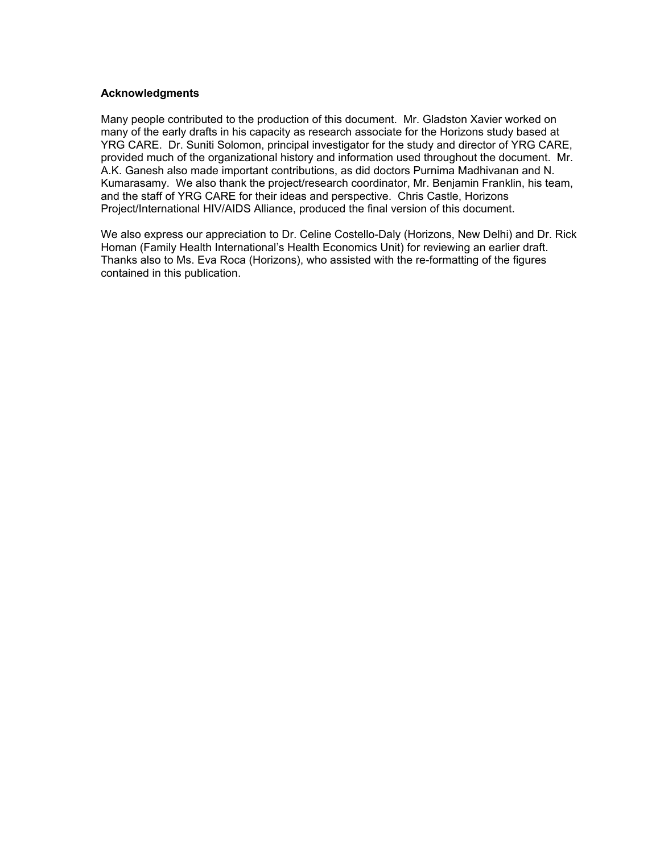#### **Acknowledgments**

Many people contributed to the production of this document. Mr. Gladston Xavier worked on many of the early drafts in his capacity as research associate for the Horizons study based at YRG CARE. Dr. Suniti Solomon, principal investigator for the study and director of YRG CARE, provided much of the organizational history and information used throughout the document. Mr. A.K. Ganesh also made important contributions, as did doctors Purnima Madhivanan and N. Kumarasamy. We also thank the project/research coordinator, Mr. Benjamin Franklin, his team, and the staff of YRG CARE for their ideas and perspective. Chris Castle, Horizons Project/International HIV/AIDS Alliance, produced the final version of this document.

We also express our appreciation to Dr. Celine Costello-Daly (Horizons, New Delhi) and Dr. Rick Homan (Family Health International's Health Economics Unit) for reviewing an earlier draft. Thanks also to Ms. Eva Roca (Horizons), who assisted with the re-formatting of the figures contained in this publication.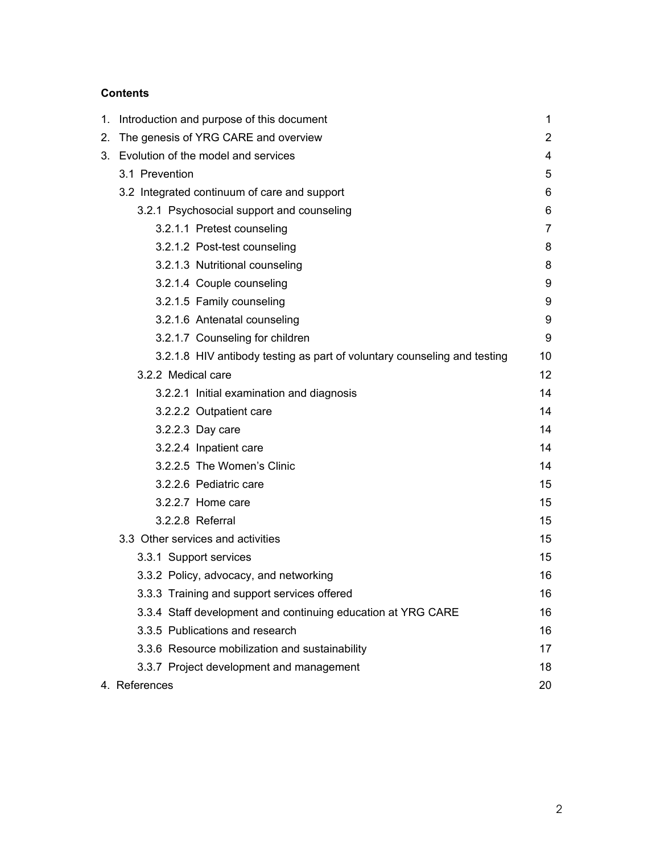# **Contents**

| 1. | Introduction and purpose of this document                                |                |  |
|----|--------------------------------------------------------------------------|----------------|--|
| 2. | The genesis of YRG CARE and overview                                     |                |  |
|    | 3. Evolution of the model and services                                   | 4              |  |
|    | 3.1 Prevention                                                           | 5              |  |
|    | 3.2 Integrated continuum of care and support                             | 6              |  |
|    | 3.2.1 Psychosocial support and counseling                                | 6              |  |
|    | 3.2.1.1 Pretest counseling                                               | $\overline{7}$ |  |
|    | 3.2.1.2 Post-test counseling                                             | 8              |  |
|    | 3.2.1.3 Nutritional counseling                                           | 8              |  |
|    | 3.2.1.4 Couple counseling                                                | 9              |  |
|    | 3.2.1.5 Family counseling                                                | 9              |  |
|    | 3.2.1.6 Antenatal counseling                                             | 9              |  |
|    | 3.2.1.7 Counseling for children                                          | 9              |  |
|    | 3.2.1.8 HIV antibody testing as part of voluntary counseling and testing | 10             |  |
|    | 3.2.2 Medical care                                                       | 12             |  |
|    | 3.2.2.1 Initial examination and diagnosis                                | 14             |  |
|    | 3.2.2.2 Outpatient care                                                  | 14             |  |
|    | 3.2.2.3 Day care                                                         | 14             |  |
|    | 3.2.2.4 Inpatient care                                                   | 14             |  |
|    | 3.2.2.5 The Women's Clinic                                               | 14             |  |
|    | 3.2.2.6 Pediatric care                                                   | 15             |  |
|    | 3.2.2.7 Home care                                                        | 15             |  |
|    | 3.2.2.8 Referral                                                         | 15             |  |
|    | 3.3 Other services and activities                                        | 15             |  |
|    | 3.3.1 Support services                                                   | 15             |  |
|    | 3.3.2 Policy, advocacy, and networking                                   | 16             |  |
|    | 3.3.3 Training and support services offered                              | 16             |  |
|    | 3.3.4 Staff development and continuing education at YRG CARE             | 16             |  |
|    | 3.3.5 Publications and research                                          | 16             |  |
|    | 3.3.6 Resource mobilization and sustainability                           | 17             |  |
|    | 3.3.7 Project development and management                                 | 18             |  |
|    | 4. References                                                            | 20             |  |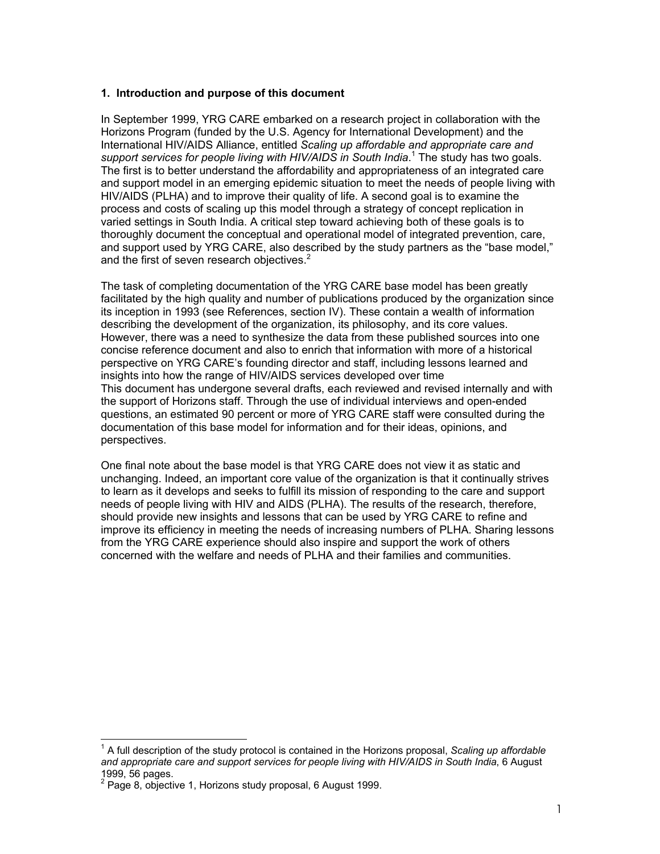#### **1. Introduction and purpose of this document**

In September 1999, YRG CARE embarked on a research project in collaboration with the Horizons Program (funded by the U.S. Agency for International Development) and the International HIV/AIDS Alliance, entitled *Scaling up affordable and appropriate care and*  support services for people living with HIV/AIDS in South India.<sup>1</sup> The study has two goals. The first is to better understand the affordability and appropriateness of an integrated care and support model in an emerging epidemic situation to meet the needs of people living with HIV/AIDS (PLHA) and to improve their quality of life. A second goal is to examine the process and costs of scaling up this model through a strategy of concept replication in varied settings in South India. A critical step toward achieving both of these goals is to thoroughly document the conceptual and operational model of integrated prevention, care, and support used by YRG CARE, also described by the study partners as the "base model," and the first of seven research objectives.<sup>2</sup>

The task of completing documentation of the YRG CARE base model has been greatly facilitated by the high quality and number of publications produced by the organization since its inception in 1993 (see References, section IV). These contain a wealth of information describing the development of the organization, its philosophy, and its core values. However, there was a need to synthesize the data from these published sources into one concise reference document and also to enrich that information with more of a historical perspective on YRG CARE's founding director and staff, including lessons learned and insights into how the range of HIV/AIDS services developed over time This document has undergone several drafts, each reviewed and revised internally and with the support of Horizons staff. Through the use of individual interviews and open-ended questions, an estimated 90 percent or more of YRG CARE staff were consulted during the documentation of this base model for information and for their ideas, opinions, and perspectives.

One final note about the base model is that YRG CARE does not view it as static and unchanging. Indeed, an important core value of the organization is that it continually strives to learn as it develops and seeks to fulfill its mission of responding to the care and support needs of people living with HIV and AIDS (PLHA). The results of the research, therefore, should provide new insights and lessons that can be used by YRG CARE to refine and improve its efficiency in meeting the needs of increasing numbers of PLHA. Sharing lessons from the YRG CARE experience should also inspire and support the work of others concerned with the welfare and needs of PLHA and their families and communities.

 $\overline{a}$ 

<sup>&</sup>lt;sup>1</sup> A full description of the study protocol is contained in the Horizons proposal, *Scaling up affordable and appropriate care and support services for people living with HIV/AIDS in South India*, 6 August 1999, 56 pages.

 $2$  Page 8, objective 1, Horizons study proposal, 6 August 1999.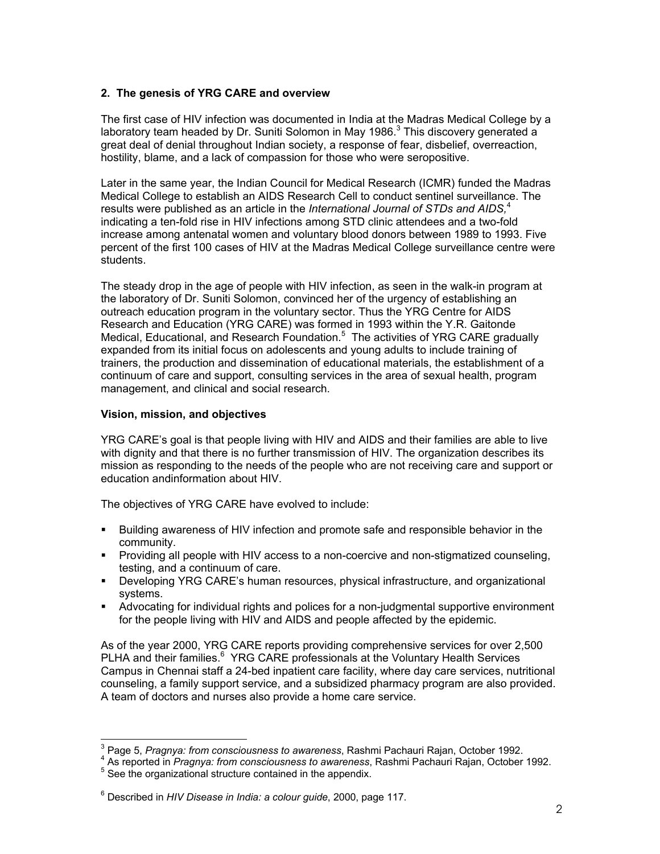#### **2. The genesis of YRG CARE and overview**

The first case of HIV infection was documented in India at the Madras Medical College by a laboratory team headed by Dr. Suniti Solomon in May 1986. $3$  This discovery generated a great deal of denial throughout Indian society, a response of fear, disbelief, overreaction, hostility, blame, and a lack of compassion for those who were seropositive.

Later in the same year, the Indian Council for Medical Research (ICMR) funded the Madras Medical College to establish an AIDS Research Cell to conduct sentinel surveillance. The results were published as an article in the *International Journal of STDs and AIDS,*<sup>4</sup> indicating a ten-fold rise in HIV infections among STD clinic attendees and a two-fold increase among antenatal women and voluntary blood donors between 1989 to 1993. Five percent of the first 100 cases of HIV at the Madras Medical College surveillance centre were students.

The steady drop in the age of people with HIV infection, as seen in the walk-in program at the laboratory of Dr. Suniti Solomon, convinced her of the urgency of establishing an outreach education program in the voluntary sector. Thus the YRG Centre for AIDS Research and Education (YRG CARE) was formed in 1993 within the Y.R. Gaitonde Medical, Educational, and Research Foundation.<sup>5</sup> The activities of YRG CARE gradually expanded from its initial focus on adolescents and young adults to include training of trainers, the production and dissemination of educational materials, the establishment of a continuum of care and support, consulting services in the area of sexual health, program management, and clinical and social research.

#### **Vision, mission, and objectives**

YRG CARE's goal is that people living with HIV and AIDS and their families are able to live with dignity and that there is no further transmission of HIV. The organization describes its mission as responding to the needs of the people who are not receiving care and support or education andinformation about HIV.

The objectives of YRG CARE have evolved to include:

- Building awareness of HIV infection and promote safe and responsible behavior in the community.
- Providing all people with HIV access to a non-coercive and non-stigmatized counseling, testing, and a continuum of care.
- Developing YRG CARE's human resources, physical infrastructure, and organizational systems.
- Advocating for individual rights and polices for a non-judgmental supportive environment for the people living with HIV and AIDS and people affected by the epidemic.

As of the year 2000, YRG CARE reports providing comprehensive services for over 2,500 PLHA and their families.<sup>6</sup> YRG CARE professionals at the Voluntary Health Services Campus in Chennai staff a 24-bed inpatient care facility, where day care services, nutritional counseling, a family support service, and a subsidized pharmacy program are also provided. A team of doctors and nurses also provide a home care service.

<sup>-&</sup>lt;br>3 <sup>3</sup> Page 5, *Pragnya: from consciousness to awareness*, Rashmi Pachauri Rajan, October 1992.<br><sup>4</sup> As reported in *Pragnya: from consciousness to awareness*, Bashmi Pachauri Bajan, October.

<sup>&</sup>lt;sup>4</sup> As reported in *Pragnya: from consciousness to awareness*, Rashmi Pachauri Rajan, October 1992.<br><sup>5</sup> See the erganizational etrusture contained in the ennendiy.

See the organizational structure contained in the appendix.

<sup>6</sup> Described in *HIV Disease in India: a colour guide*, 2000, page 117.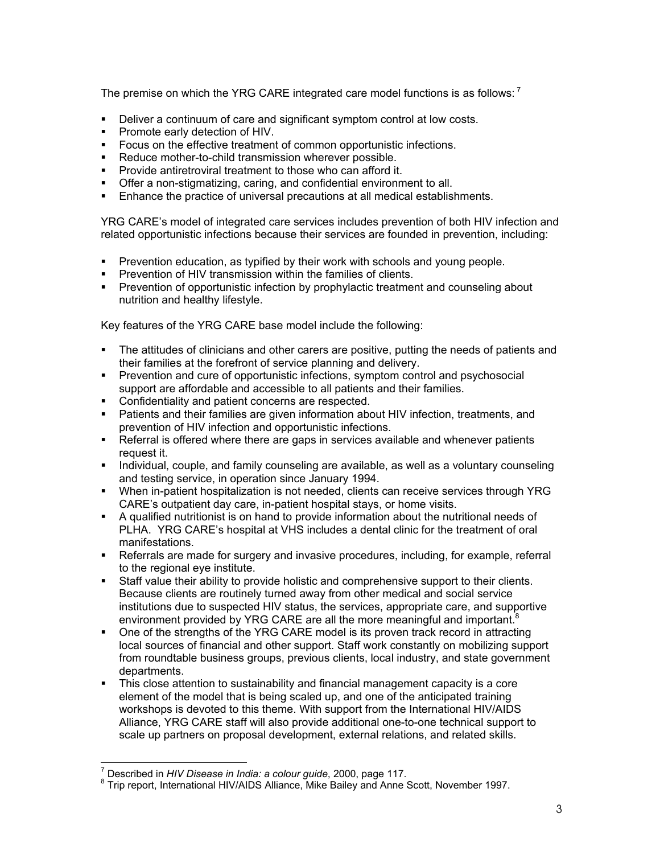The premise on which the YRG CARE integrated care model functions is as follows:  $^7$ 

- Deliver a continuum of care and significant symptom control at low costs.
- **Promote early detection of HIV.**
- Focus on the effective treatment of common opportunistic infections.
- Reduce mother-to-child transmission wherever possible.
- **Provide antiretroviral treatment to those who can afford it.**
- **•** Offer a non-stigmatizing, caring, and confidential environment to all.
- **Enhance the practice of universal precautions at all medical establishments.**

YRG CARE's model of integrated care services includes prevention of both HIV infection and related opportunistic infections because their services are founded in prevention, including:

- **Prevention education, as typified by their work with schools and young people.**
- **Prevention of HIV transmission within the families of clients.**
- Prevention of opportunistic infection by prophylactic treatment and counseling about nutrition and healthy lifestyle.

Key features of the YRG CARE base model include the following:

- The attitudes of clinicians and other carers are positive, putting the needs of patients and their families at the forefront of service planning and delivery.
- Prevention and cure of opportunistic infections, symptom control and psychosocial support are affordable and accessible to all patients and their families.
- **Confidentiality and patient concerns are respected.**
- **Patients and their families are given information about HIV infection, treatments, and** prevention of HIV infection and opportunistic infections.
- **EXEL** Referral is offered where there are gaps in services available and whenever patients request it.
- Individual, couple, and family counseling are available, as well as a voluntary counseling and testing service, in operation since January 1994.
- When in-patient hospitalization is not needed, clients can receive services through YRG CARE's outpatient day care, in-patient hospital stays, or home visits.
- A qualified nutritionist is on hand to provide information about the nutritional needs of PLHA. YRG CARE's hospital at VHS includes a dental clinic for the treatment of oral manifestations.
- Referrals are made for surgery and invasive procedures, including, for example, referral to the regional eye institute.
- Staff value their ability to provide holistic and comprehensive support to their clients. Because clients are routinely turned away from other medical and social service institutions due to suspected HIV status, the services, appropriate care, and supportive environment provided by YRG CARE are all the more meaningful and important.<sup>8</sup>
- One of the strengths of the YRG CARE model is its proven track record in attracting local sources of financial and other support. Staff work constantly on mobilizing support from roundtable business groups, previous clients, local industry, and state government departments.
- This close attention to sustainability and financial management capacity is a core element of the model that is being scaled up, and one of the anticipated training workshops is devoted to this theme. With support from the International HIV/AIDS Alliance, YRG CARE staff will also provide additional one-to-one technical support to scale up partners on proposal development, external relations, and related skills.

<sup>7&</sup>lt;br><sup>7</sup> Described in *HIV Disease in India: a colour guide*, 2000, page 117.<br><sup>8</sup> Trip report, International HIV (AIDS, Allianee, Mike Beiley and Anne 6

 $8$  Trip report, International HIV/AIDS Alliance, Mike Bailey and Anne Scott, November 1997.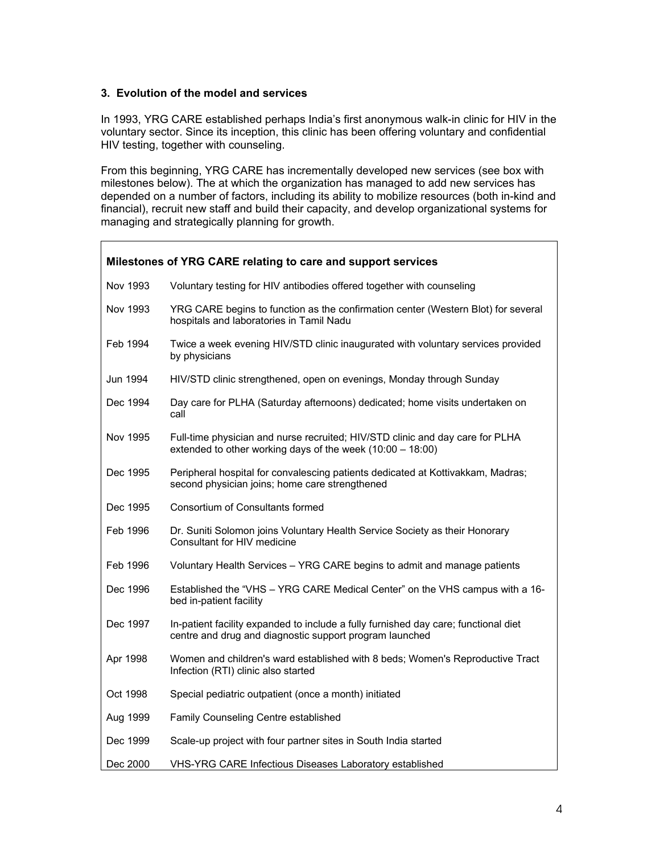#### **3. Evolution of the model and services**

 $\Gamma$ 

In 1993, YRG CARE established perhaps India's first anonymous walk-in clinic for HIV in the voluntary sector. Since its inception, this clinic has been offering voluntary and confidential HIV testing, together with counseling.

From this beginning, YRG CARE has incrementally developed new services (see box with milestones below). The at which the organization has managed to add new services has depended on a number of factors, including its ability to mobilize resources (both in-kind and financial), recruit new staff and build their capacity, and develop organizational systems for managing and strategically planning for growth.

| Milestones of YRG CARE relating to care and support services |                                                                                                                                                |  |  |  |  |
|--------------------------------------------------------------|------------------------------------------------------------------------------------------------------------------------------------------------|--|--|--|--|
| Nov 1993                                                     | Voluntary testing for HIV antibodies offered together with counseling                                                                          |  |  |  |  |
| Nov 1993                                                     | YRG CARE begins to function as the confirmation center (Western Blot) for several<br>hospitals and laboratories in Tamil Nadu                  |  |  |  |  |
| Feb 1994                                                     | Twice a week evening HIV/STD clinic inaugurated with voluntary services provided<br>by physicians                                              |  |  |  |  |
| Jun 1994                                                     | HIV/STD clinic strengthened, open on evenings, Monday through Sunday                                                                           |  |  |  |  |
| Dec 1994                                                     | Day care for PLHA (Saturday afternoons) dedicated; home visits undertaken on<br>call                                                           |  |  |  |  |
| Nov 1995                                                     | Full-time physician and nurse recruited; HIV/STD clinic and day care for PLHA<br>extended to other working days of the week $(10:00 - 18:00)$  |  |  |  |  |
| Dec 1995                                                     | Peripheral hospital for convalescing patients dedicated at Kottivakkam, Madras;<br>second physician joins; home care strengthened              |  |  |  |  |
| Dec 1995                                                     | Consortium of Consultants formed                                                                                                               |  |  |  |  |
| Feb 1996                                                     | Dr. Suniti Solomon joins Voluntary Health Service Society as their Honorary<br>Consultant for HIV medicine                                     |  |  |  |  |
| Feb 1996                                                     | Voluntary Health Services - YRG CARE begins to admit and manage patients                                                                       |  |  |  |  |
| Dec 1996                                                     | Established the "VHS - YRG CARE Medical Center" on the VHS campus with a 16-<br>bed in-patient facility                                        |  |  |  |  |
| Dec 1997                                                     | In-patient facility expanded to include a fully furnished day care; functional diet<br>centre and drug and diagnostic support program launched |  |  |  |  |
| Apr 1998                                                     | Women and children's ward established with 8 beds; Women's Reproductive Tract<br>Infection (RTI) clinic also started                           |  |  |  |  |
| Oct 1998                                                     | Special pediatric outpatient (once a month) initiated                                                                                          |  |  |  |  |
| Aug 1999                                                     | Family Counseling Centre established                                                                                                           |  |  |  |  |
| Dec 1999                                                     | Scale-up project with four partner sites in South India started                                                                                |  |  |  |  |
| Dec 2000                                                     | VHS-YRG CARE Infectious Diseases Laboratory established                                                                                        |  |  |  |  |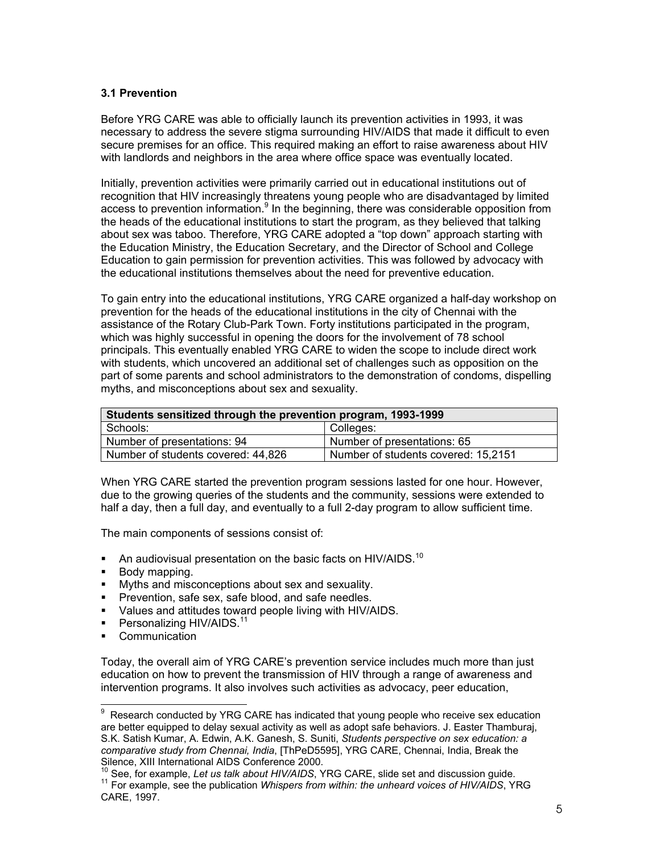#### **3.1 Prevention**

Before YRG CARE was able to officially launch its prevention activities in 1993, it was necessary to address the severe stigma surrounding HIV/AIDS that made it difficult to even secure premises for an office. This required making an effort to raise awareness about HIV with landlords and neighbors in the area where office space was eventually located.

Initially, prevention activities were primarily carried out in educational institutions out of recognition that HIV increasingly threatens young people who are disadvantaged by limited access to prevention information.<sup>9</sup> In the beginning, there was considerable opposition from the heads of the educational institutions to start the program, as they believed that talking about sex was taboo. Therefore, YRG CARE adopted a "top down" approach starting with the Education Ministry, the Education Secretary, and the Director of School and College Education to gain permission for prevention activities. This was followed by advocacy with the educational institutions themselves about the need for preventive education.

To gain entry into the educational institutions, YRG CARE organized a half-day workshop on prevention for the heads of the educational institutions in the city of Chennai with the assistance of the Rotary Club-Park Town. Forty institutions participated in the program, which was highly successful in opening the doors for the involvement of 78 school principals. This eventually enabled YRG CARE to widen the scope to include direct work with students, which uncovered an additional set of challenges such as opposition on the part of some parents and school administrators to the demonstration of condoms, dispelling myths, and misconceptions about sex and sexuality.

| Students sensitized through the prevention program, 1993-1999 |                                     |  |  |
|---------------------------------------------------------------|-------------------------------------|--|--|
| Schools:                                                      | Colleges:                           |  |  |
| Number of presentations: 94                                   | Number of presentations: 65         |  |  |
| Number of students covered: 44,826                            | Number of students covered: 15,2151 |  |  |

When YRG CARE started the prevention program sessions lasted for one hour. However, due to the growing queries of the students and the community, sessions were extended to half a day, then a full day, and eventually to a full 2-day program to allow sufficient time.

The main components of sessions consist of:

- An audiovisual presentation on the basic facts on HIV/AIDS.<sup>10</sup>
- **Body mapping.**
- **Myths and misconceptions about sex and sexuality.**
- **Prevention, safe sex, safe blood, and safe needles.**
- Values and attitudes toward people living with HIV/AIDS.
- Personalizing HIV/AIDS.<sup>11</sup>
- Communication

Today, the overall aim of YRG CARE's prevention service includes much more than just education on how to prevent the transmission of HIV through a range of awareness and intervention programs. It also involves such activities as advocacy, peer education,

<sup>-&</sup>lt;br>9 Research conducted by YRG CARE has indicated that young people who receive sex education are better equipped to delay sexual activity as well as adopt safe behaviors. J. Easter Thamburaj, S.K. Satish Kumar, A. Edwin, A.K. Ganesh, S. Suniti, *Students perspective on sex education: a comparative study from Chennai, India*, [ThPeD5595], YRG CARE, Chennai, India, Break the

<sup>&</sup>lt;sup>10</sup> See, for example, Let us talk about HIV/AIDS, YRG CARE, slide set and discussion guide.<br><sup>11</sup> For example, see the publication Whispers from within: the unheard voices of HIV/AIDS, YRG CARE, 1997.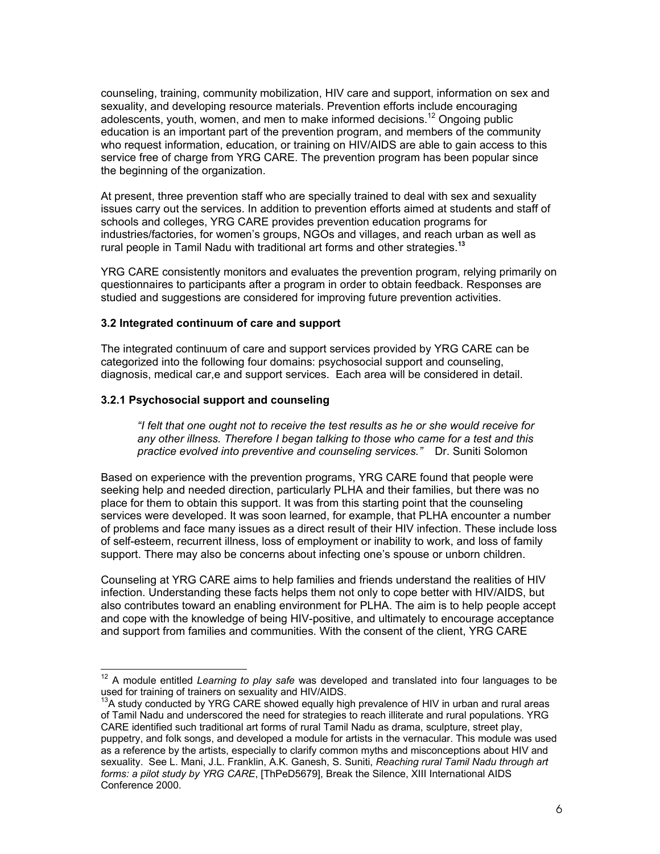counseling, training, community mobilization, HIV care and support, information on sex and sexuality, and developing resource materials. Prevention efforts include encouraging adolescents, youth, women, and men to make informed decisions.<sup>12</sup> Ongoing public education is an important part of the prevention program, and members of the community who request information, education, or training on HIV/AIDS are able to gain access to this service free of charge from YRG CARE. The prevention program has been popular since the beginning of the organization.

At present, three prevention staff who are specially trained to deal with sex and sexuality issues carry out the services. In addition to prevention efforts aimed at students and staff of schools and colleges, YRG CARE provides prevention education programs for industries/factories, for women's groups, NGOs and villages, and reach urban as well as rural people in Tamil Nadu with traditional art forms and other strategies.**<sup>13</sup>**

YRG CARE consistently monitors and evaluates the prevention program, relying primarily on questionnaires to participants after a program in order to obtain feedback. Responses are studied and suggestions are considered for improving future prevention activities.

#### **3.2 Integrated continuum of care and support**

The integrated continuum of care and support services provided by YRG CARE can be categorized into the following four domains: psychosocial support and counseling, diagnosis, medical car,e and support services. Each area will be considered in detail.

#### **3.2.1 Psychosocial support and counseling**

 $\overline{a}$ 

*"I felt that one ought not to receive the test results as he or she would receive for any other illness. Therefore I began talking to those who came for a test and this practice evolved into preventive and counseling services."* Dr. Suniti Solomon

Based on experience with the prevention programs, YRG CARE found that people were seeking help and needed direction, particularly PLHA and their families, but there was no place for them to obtain this support. It was from this starting point that the counseling services were developed. It was soon learned, for example, that PLHA encounter a number of problems and face many issues as a direct result of their HIV infection. These include loss of self-esteem, recurrent illness, loss of employment or inability to work, and loss of family support. There may also be concerns about infecting one's spouse or unborn children.

Counseling at YRG CARE aims to help families and friends understand the realities of HIV infection. Understanding these facts helps them not only to cope better with HIV/AIDS, but also contributes toward an enabling environment for PLHA. The aim is to help people accept and cope with the knowledge of being HIV-positive, and ultimately to encourage acceptance and support from families and communities. With the consent of the client, YRG CARE

<sup>12</sup> A module entitled *Learning to play safe* was developed and translated into four languages to be used for training of trainers on sexuality and HIV/AIDS.

<sup>&</sup>lt;sup>13</sup>A study conducted by YRG CARE showed equally high prevalence of HIV in urban and rural areas of Tamil Nadu and underscored the need for strategies to reach illiterate and rural populations. YRG CARE identified such traditional art forms of rural Tamil Nadu as drama, sculpture, street play, puppetry, and folk songs, and developed a module for artists in the vernacular. This module was used as a reference by the artists, especially to clarify common myths and misconceptions about HIV and sexuality. See L. Mani, J.L. Franklin, A.K. Ganesh, S. Suniti, *Reaching rural Tamil Nadu through art forms: a pilot study by YRG CARE*, [ThPeD5679], Break the Silence, XIII International AIDS Conference 2000.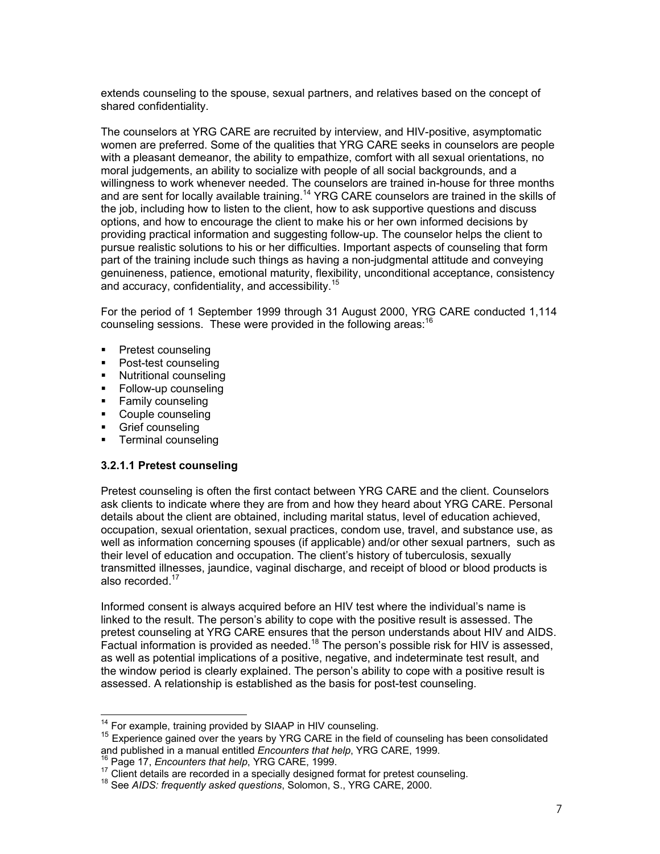extends counseling to the spouse, sexual partners, and relatives based on the concept of shared confidentiality.

The counselors at YRG CARE are recruited by interview, and HIV-positive, asymptomatic women are preferred. Some of the qualities that YRG CARE seeks in counselors are people with a pleasant demeanor, the ability to empathize, comfort with all sexual orientations, no moral judgements, an ability to socialize with people of all social backgrounds, and a willingness to work whenever needed. The counselors are trained in-house for three months and are sent for locally available training.<sup>14</sup> YRG CARE counselors are trained in the skills of the job, including how to listen to the client, how to ask supportive questions and discuss options, and how to encourage the client to make his or her own informed decisions by providing practical information and suggesting follow-up. The counselor helps the client to pursue realistic solutions to his or her difficulties. Important aspects of counseling that form part of the training include such things as having a non-judgmental attitude and conveying genuineness, patience, emotional maturity, flexibility, unconditional acceptance, consistency and accuracy, confidentiality, and accessibility.<sup>15</sup>

For the period of 1 September 1999 through 31 August 2000, YRG CARE conducted 1,114 counseling sessions. These were provided in the following areas:  $16$ 

- **Pretest counseling**
- Post-test counseling
- **Nutritional counseling**
- **Follow-up counseling**
- Family counseling
- Couple counseling
- Grief counseling

l

**Terminal counseling** 

#### **3.2.1.1 Pretest counseling**

Pretest counseling is often the first contact between YRG CARE and the client. Counselors ask clients to indicate where they are from and how they heard about YRG CARE. Personal details about the client are obtained, including marital status, level of education achieved, occupation, sexual orientation, sexual practices, condom use, travel, and substance use, as well as information concerning spouses (if applicable) and/or other sexual partners, such as their level of education and occupation. The client's history of tuberculosis, sexually transmitted illnesses, jaundice, vaginal discharge, and receipt of blood or blood products is also recorded.<sup>17</sup>

Informed consent is always acquired before an HIV test where the individual's name is linked to the result. The person's ability to cope with the positive result is assessed. The pretest counseling at YRG CARE ensures that the person understands about HIV and AIDS. Factual information is provided as needed.<sup>18</sup> The person's possible risk for HIV is assessed, as well as potential implications of a positive, negative, and indeterminate test result, and the window period is clearly explained. The person's ability to cope with a positive result is assessed. A relationship is established as the basis for post-test counseling.

 $14$  For example, training provided by SIAAP in HIV counseling.

<sup>&</sup>lt;sup>15</sup> Experience gained over the years by YRG CARE in the field of counseling has been consolidated and published in a manual entitled *Encounters that help*, YRG CARE, 1999.

<sup>&</sup>lt;sup>16</sup> Page 17, *Encounters that help*, YRG CARE, 1999.<br><sup>17</sup> Client details are recorded in a specially designed format for pretest counseling.<br><sup>18</sup> See *AIDS: frequently asked questions*, Solomon, S., YRG CARE, 2000.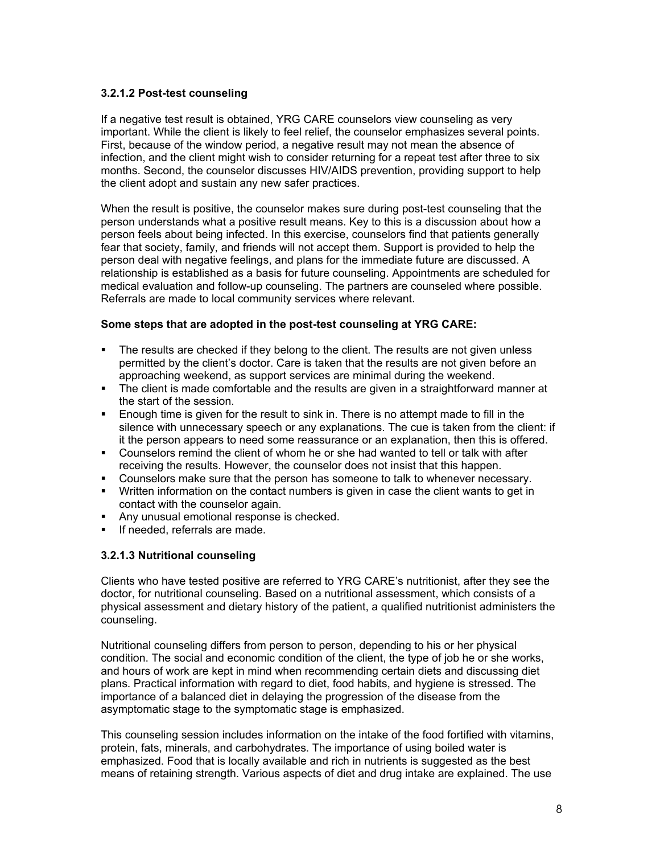#### **3.2.1.2 Post-test counseling**

If a negative test result is obtained, YRG CARE counselors view counseling as very important. While the client is likely to feel relief, the counselor emphasizes several points. First, because of the window period, a negative result may not mean the absence of infection, and the client might wish to consider returning for a repeat test after three to six months. Second, the counselor discusses HIV/AIDS prevention, providing support to help the client adopt and sustain any new safer practices.

When the result is positive, the counselor makes sure during post-test counseling that the person understands what a positive result means. Key to this is a discussion about how a person feels about being infected. In this exercise, counselors find that patients generally fear that society, family, and friends will not accept them. Support is provided to help the person deal with negative feelings, and plans for the immediate future are discussed. A relationship is established as a basis for future counseling. Appointments are scheduled for medical evaluation and follow-up counseling. The partners are counseled where possible. Referrals are made to local community services where relevant.

#### **Some steps that are adopted in the post-test counseling at YRG CARE:**

- The results are checked if they belong to the client. The results are not given unless permitted by the client's doctor. Care is taken that the results are not given before an approaching weekend, as support services are minimal during the weekend.
- The client is made comfortable and the results are given in a straightforward manner at the start of the session.
- Enough time is given for the result to sink in. There is no attempt made to fill in the silence with unnecessary speech or any explanations. The cue is taken from the client: if it the person appears to need some reassurance or an explanation, then this is offered.
- Counselors remind the client of whom he or she had wanted to tell or talk with after receiving the results. However, the counselor does not insist that this happen.
- Counselors make sure that the person has someone to talk to whenever necessary.
- Written information on the contact numbers is given in case the client wants to get in contact with the counselor again.
- Any unusual emotional response is checked.
- If needed, referrals are made.

# **3.2.1.3 Nutritional counseling**

Clients who have tested positive are referred to YRG CARE's nutritionist, after they see the doctor, for nutritional counseling. Based on a nutritional assessment, which consists of a physical assessment and dietary history of the patient, a qualified nutritionist administers the counseling.

Nutritional counseling differs from person to person, depending to his or her physical condition. The social and economic condition of the client, the type of job he or she works, and hours of work are kept in mind when recommending certain diets and discussing diet plans. Practical information with regard to diet, food habits, and hygiene is stressed. The importance of a balanced diet in delaying the progression of the disease from the asymptomatic stage to the symptomatic stage is emphasized.

This counseling session includes information on the intake of the food fortified with vitamins, protein, fats, minerals, and carbohydrates. The importance of using boiled water is emphasized. Food that is locally available and rich in nutrients is suggested as the best means of retaining strength. Various aspects of diet and drug intake are explained. The use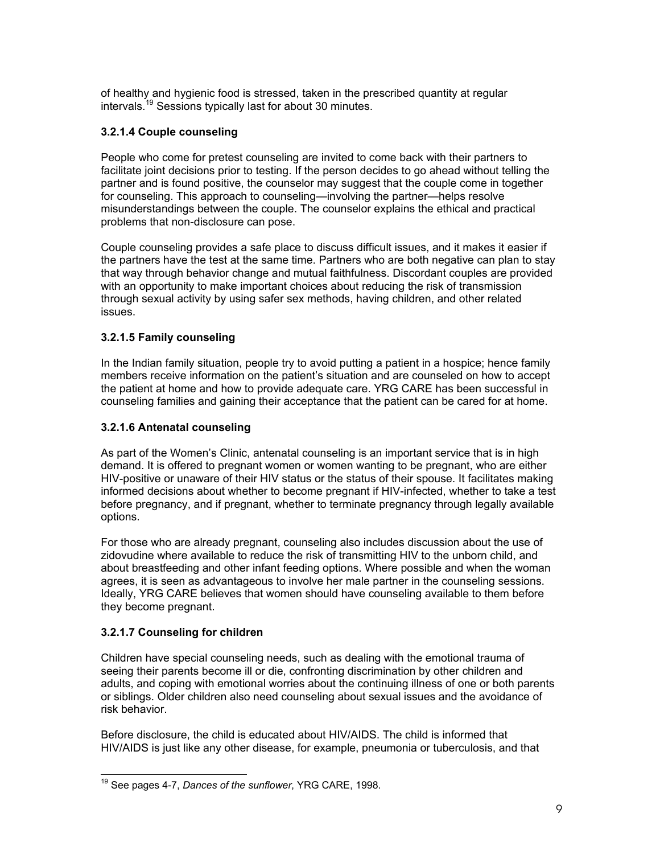of healthy and hygienic food is stressed, taken in the prescribed quantity at regular intervals.19 Sessions typically last for about 30 minutes.

# **3.2.1.4 Couple counseling**

People who come for pretest counseling are invited to come back with their partners to facilitate joint decisions prior to testing. If the person decides to go ahead without telling the partner and is found positive, the counselor may suggest that the couple come in together for counseling. This approach to counseling—involving the partner—helps resolve misunderstandings between the couple. The counselor explains the ethical and practical problems that non-disclosure can pose.

Couple counseling provides a safe place to discuss difficult issues, and it makes it easier if the partners have the test at the same time. Partners who are both negative can plan to stay that way through behavior change and mutual faithfulness. Discordant couples are provided with an opportunity to make important choices about reducing the risk of transmission through sexual activity by using safer sex methods, having children, and other related issues.

# **3.2.1.5 Family counseling**

In the Indian family situation, people try to avoid putting a patient in a hospice; hence family members receive information on the patient's situation and are counseled on how to accept the patient at home and how to provide adequate care. YRG CARE has been successful in counseling families and gaining their acceptance that the patient can be cared for at home.

#### **3.2.1.6 Antenatal counseling**

As part of the Women's Clinic, antenatal counseling is an important service that is in high demand. It is offered to pregnant women or women wanting to be pregnant, who are either HIV-positive or unaware of their HIV status or the status of their spouse. It facilitates making informed decisions about whether to become pregnant if HIV-infected, whether to take a test before pregnancy, and if pregnant, whether to terminate pregnancy through legally available options.

For those who are already pregnant, counseling also includes discussion about the use of zidovudine where available to reduce the risk of transmitting HIV to the unborn child, and about breastfeeding and other infant feeding options. Where possible and when the woman agrees, it is seen as advantageous to involve her male partner in the counseling sessions. Ideally, YRG CARE believes that women should have counseling available to them before they become pregnant.

#### **3.2.1.7 Counseling for children**

l

Children have special counseling needs, such as dealing with the emotional trauma of seeing their parents become ill or die, confronting discrimination by other children and adults, and coping with emotional worries about the continuing illness of one or both parents or siblings. Older children also need counseling about sexual issues and the avoidance of risk behavior.

Before disclosure, the child is educated about HIV/AIDS. The child is informed that HIV/AIDS is just like any other disease, for example, pneumonia or tuberculosis, and that

<sup>19</sup> See pages 4-7, *Dances of the sunflower*, YRG CARE, 1998.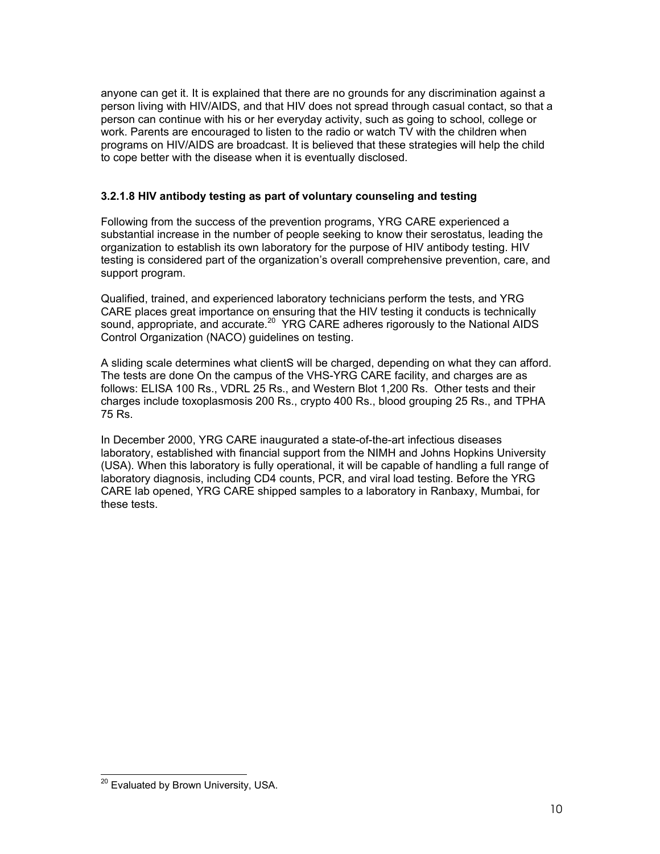anyone can get it. It is explained that there are no grounds for any discrimination against a person living with HIV/AIDS, and that HIV does not spread through casual contact, so that a person can continue with his or her everyday activity, such as going to school, college or work. Parents are encouraged to listen to the radio or watch TV with the children when programs on HIV/AIDS are broadcast. It is believed that these strategies will help the child to cope better with the disease when it is eventually disclosed.

# **3.2.1.8 HIV antibody testing as part of voluntary counseling and testing**

Following from the success of the prevention programs, YRG CARE experienced a substantial increase in the number of people seeking to know their serostatus, leading the organization to establish its own laboratory for the purpose of HIV antibody testing. HIV testing is considered part of the organization's overall comprehensive prevention, care, and support program.

Qualified, trained, and experienced laboratory technicians perform the tests, and YRG CARE places great importance on ensuring that the HIV testing it conducts is technically sound, appropriate, and accurate.<sup>20</sup> YRG CARE adheres rigorously to the National AIDS Control Organization (NACO) guidelines on testing.

A sliding scale determines what clientS will be charged, depending on what they can afford. The tests are done On the campus of the VHS-YRG CARE facility, and charges are as follows: ELISA 100 Rs., VDRL 25 Rs., and Western Blot 1,200 Rs. Other tests and their charges include toxoplasmosis 200 Rs., crypto 400 Rs., blood grouping 25 Rs., and TPHA 75 Rs.

In December 2000, YRG CARE inaugurated a state-of-the-art infectious diseases laboratory, established with financial support from the NIMH and Johns Hopkins University (USA). When this laboratory is fully operational, it will be capable of handling a full range of laboratory diagnosis, including CD4 counts, PCR, and viral load testing. Before the YRG CARE lab opened, YRG CARE shipped samples to a laboratory in Ranbaxy, Mumbai, for these tests.

l

<sup>&</sup>lt;sup>20</sup> Evaluated by Brown University, USA.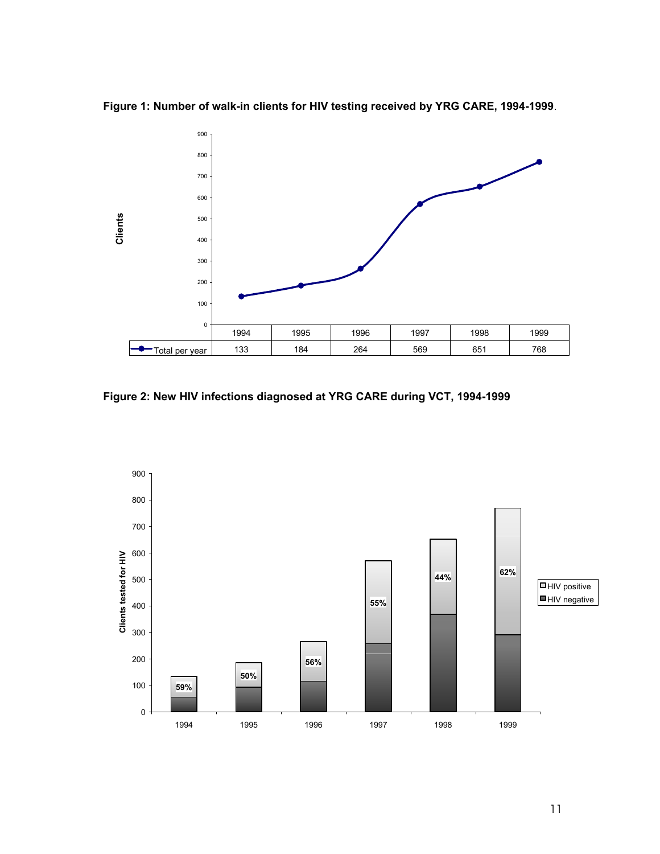**Figure 1: Number of walk-in clients for HIV testing received by YRG CARE, 1994-1999**.



**Figure 2: New HIV infections diagnosed at YRG CARE during VCT, 1994-1999** 

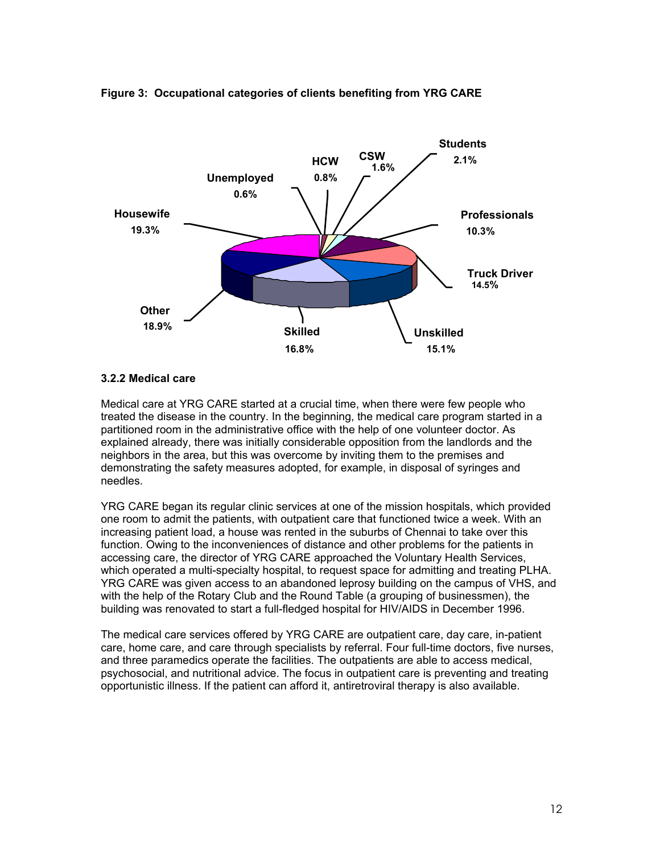

#### **Figure 3: Occupational categories of clients benefiting from YRG CARE**

#### **3.2.2 Medical care**

Medical care at YRG CARE started at a crucial time, when there were few people who treated the disease in the country. In the beginning, the medical care program started in a partitioned room in the administrative office with the help of one volunteer doctor. As explained already, there was initially considerable opposition from the landlords and the neighbors in the area, but this was overcome by inviting them to the premises and demonstrating the safety measures adopted, for example, in disposal of syringes and needles.

YRG CARE began its regular clinic services at one of the mission hospitals, which provided one room to admit the patients, with outpatient care that functioned twice a week. With an increasing patient load, a house was rented in the suburbs of Chennai to take over this function. Owing to the inconveniences of distance and other problems for the patients in accessing care, the director of YRG CARE approached the Voluntary Health Services, which operated a multi-specialty hospital, to request space for admitting and treating PLHA. YRG CARE was given access to an abandoned leprosy building on the campus of VHS, and with the help of the Rotary Club and the Round Table (a grouping of businessmen), the building was renovated to start a full-fledged hospital for HIV/AIDS in December 1996.

The medical care services offered by YRG CARE are outpatient care, day care, in-patient care, home care, and care through specialists by referral. Four full-time doctors, five nurses, and three paramedics operate the facilities. The outpatients are able to access medical, psychosocial, and nutritional advice. The focus in outpatient care is preventing and treating opportunistic illness. If the patient can afford it, antiretroviral therapy is also available.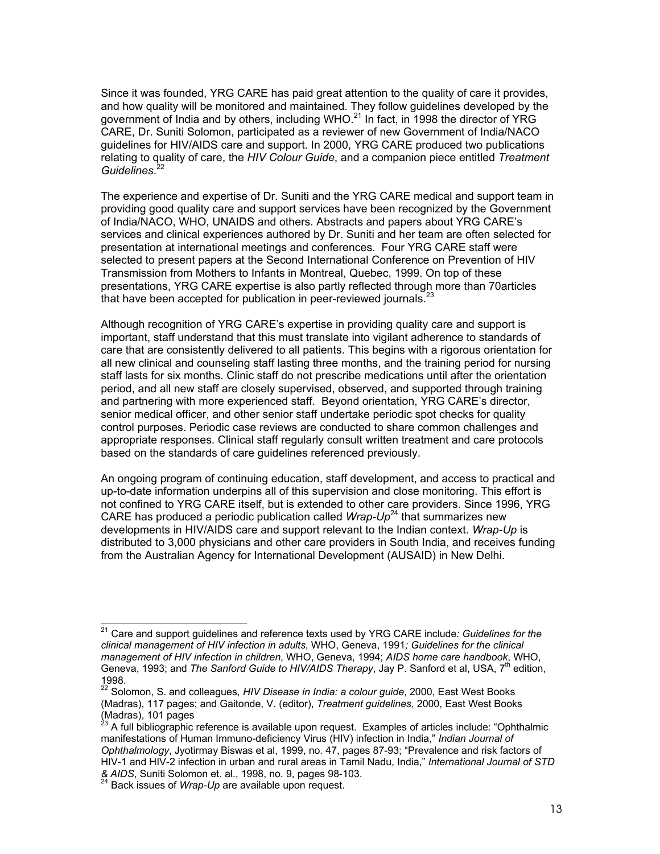Since it was founded, YRG CARE has paid great attention to the quality of care it provides, and how quality will be monitored and maintained. They follow guidelines developed by the government of India and by others, including WHO. $^{21}$  In fact, in 1998 the director of YRG CARE, Dr. Suniti Solomon, participated as a reviewer of new Government of India/NACO guidelines for HIV/AIDS care and support. In 2000, YRG CARE produced two publications relating to quality of care, the *HIV Colour Guide*, and a companion piece entitled *Treatment Guidelines*. 22

The experience and expertise of Dr. Suniti and the YRG CARE medical and support team in providing good quality care and support services have been recognized by the Government of India/NACO, WHO, UNAIDS and others. Abstracts and papers about YRG CARE's services and clinical experiences authored by Dr. Suniti and her team are often selected for presentation at international meetings and conferences. Four YRG CARE staff were selected to present papers at the Second International Conference on Prevention of HIV Transmission from Mothers to Infants in Montreal, Quebec, 1999. On top of these presentations, YRG CARE expertise is also partly reflected through more than 70articles that have been accepted for publication in peer-reviewed journals. $^{23}$ 

Although recognition of YRG CARE's expertise in providing quality care and support is important, staff understand that this must translate into vigilant adherence to standards of care that are consistently delivered to all patients. This begins with a rigorous orientation for all new clinical and counseling staff lasting three months, and the training period for nursing staff lasts for six months. Clinic staff do not prescribe medications until after the orientation period, and all new staff are closely supervised, observed, and supported through training and partnering with more experienced staff. Beyond orientation, YRG CARE's director, senior medical officer, and other senior staff undertake periodic spot checks for quality control purposes. Periodic case reviews are conducted to share common challenges and appropriate responses. Clinical staff regularly consult written treatment and care protocols based on the standards of care guidelines referenced previously.

An ongoing program of continuing education, staff development, and access to practical and up-to-date information underpins all of this supervision and close monitoring. This effort is not confined to YRG CARE itself, but is extended to other care providers. Since 1996, YRG CARE has produced a periodic publication called *Wrap-Up*<sup>24</sup> that summarizes new developments in HIV/AIDS care and support relevant to the Indian context. *Wrap-Up* is distributed to 3,000 physicians and other care providers in South India, and receives funding from the Australian Agency for International Development (AUSAID) in New Delhi.

l

<sup>21</sup> Care and support guidelines and reference texts used by YRG CARE include*: Guidelines for the clinical management of HIV infection in adults*, WHO, Geneva, 1991*; Guidelines for the clinical management of HIV infection in children*, WHO, Geneva, 1994; *AIDS home care handbook*, WHO, Geneva, 1993; and *The Sanford Guide to HIV/AIDS Therapy*, Jay P. Sanford et al, USA, 7<sup>th</sup> edition, 1998.

<sup>22</sup> Solomon, S. and colleagues, *HIV Disease in India: a colour guide*, 2000, East West Books (Madras), 117 pages; and Gaitonde, V. (editor), *Treatment guidelines*, 2000, East West Books  $(Madras)$ , 101 pages,  $^{23}$ 

<sup>23</sup> A full bibliographic reference is available upon request. Examples of articles include: "Ophthalmic manifestations of Human Immuno-deficiency Virus (HIV) infection in India," *Indian Journal of Ophthalmology*, Jyotirmay Biswas et al, 1999, no. 47, pages 87-93; "Prevalence and risk factors of HIV-1 and HIV-2 infection in urban and rural areas in Tamil Nadu, India," *International Journal of STD & AIDS*, Suniti Solomon et. al., 1998, no. 9, pages 98-103. 24 Back issues of *Wrap-Up* are available upon request.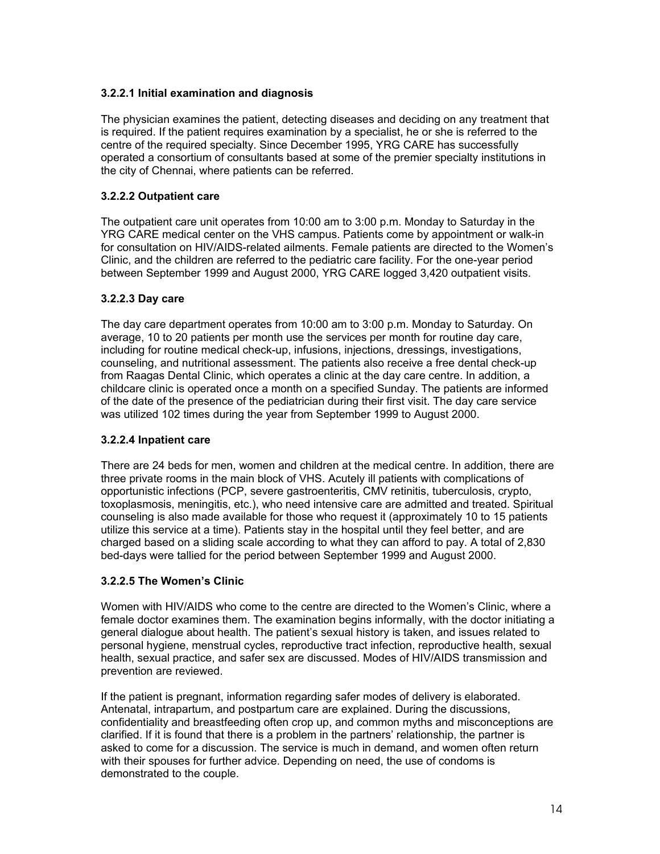# **3.2.2.1 Initial examination and diagnosis**

The physician examines the patient, detecting diseases and deciding on any treatment that is required. If the patient requires examination by a specialist, he or she is referred to the centre of the required specialty. Since December 1995, YRG CARE has successfully operated a consortium of consultants based at some of the premier specialty institutions in the city of Chennai, where patients can be referred.

# **3.2.2.2 Outpatient care**

The outpatient care unit operates from 10:00 am to 3:00 p.m. Monday to Saturday in the YRG CARE medical center on the VHS campus. Patients come by appointment or walk-in for consultation on HIV/AIDS-related ailments. Female patients are directed to the Women's Clinic, and the children are referred to the pediatric care facility. For the one-year period between September 1999 and August 2000, YRG CARE logged 3,420 outpatient visits.

# **3.2.2.3 Day care**

The day care department operates from 10:00 am to 3:00 p.m. Monday to Saturday. On average, 10 to 20 patients per month use the services per month for routine day care, including for routine medical check-up, infusions, injections, dressings, investigations, counseling, and nutritional assessment. The patients also receive a free dental check-up from Raagas Dental Clinic, which operates a clinic at the day care centre. In addition, a childcare clinic is operated once a month on a specified Sunday. The patients are informed of the date of the presence of the pediatrician during their first visit. The day care service was utilized 102 times during the year from September 1999 to August 2000.

#### **3.2.2.4 Inpatient care**

There are 24 beds for men, women and children at the medical centre. In addition, there are three private rooms in the main block of VHS. Acutely ill patients with complications of opportunistic infections (PCP, severe gastroenteritis, CMV retinitis, tuberculosis, crypto, toxoplasmosis, meningitis, etc.), who need intensive care are admitted and treated. Spiritual counseling is also made available for those who request it (approximately 10 to 15 patients utilize this service at a time). Patients stay in the hospital until they feel better, and are charged based on a sliding scale according to what they can afford to pay. A total of 2,830 bed-days were tallied for the period between September 1999 and August 2000.

# **3.2.2.5 The Women's Clinic**

Women with HIV/AIDS who come to the centre are directed to the Women's Clinic, where a female doctor examines them. The examination begins informally, with the doctor initiating a general dialogue about health. The patient's sexual history is taken, and issues related to personal hygiene, menstrual cycles, reproductive tract infection, reproductive health, sexual health, sexual practice, and safer sex are discussed. Modes of HIV/AIDS transmission and prevention are reviewed.

If the patient is pregnant, information regarding safer modes of delivery is elaborated. Antenatal, intrapartum, and postpartum care are explained. During the discussions, confidentiality and breastfeeding often crop up, and common myths and misconceptions are clarified. If it is found that there is a problem in the partners' relationship, the partner is asked to come for a discussion. The service is much in demand, and women often return with their spouses for further advice. Depending on need, the use of condoms is demonstrated to the couple.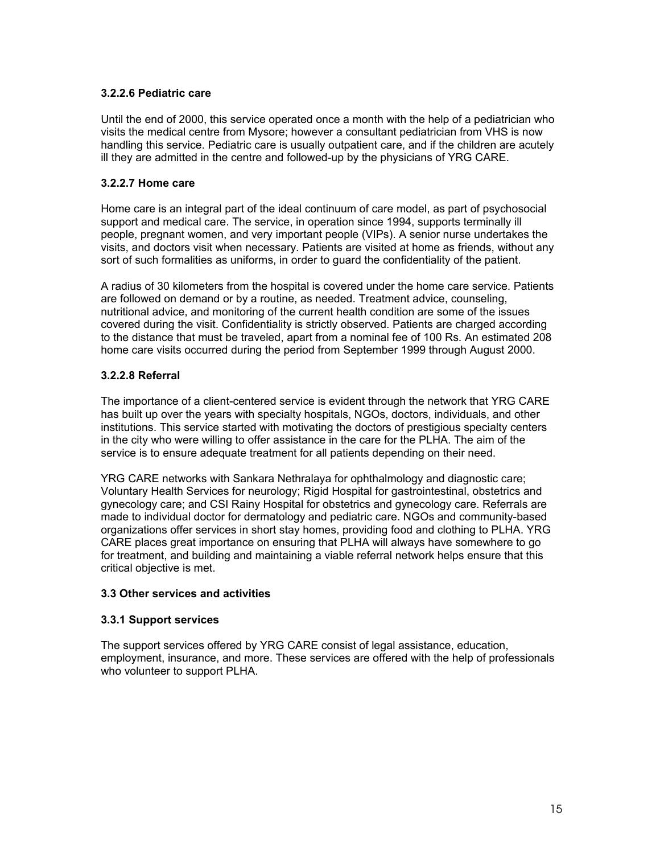#### **3.2.2.6 Pediatric care**

Until the end of 2000, this service operated once a month with the help of a pediatrician who visits the medical centre from Mysore; however a consultant pediatrician from VHS is now handling this service. Pediatric care is usually outpatient care, and if the children are acutely ill they are admitted in the centre and followed-up by the physicians of YRG CARE.

#### **3.2.2.7 Home care**

Home care is an integral part of the ideal continuum of care model, as part of psychosocial support and medical care. The service, in operation since 1994, supports terminally ill people, pregnant women, and very important people (VIPs). A senior nurse undertakes the visits, and doctors visit when necessary. Patients are visited at home as friends, without any sort of such formalities as uniforms, in order to guard the confidentiality of the patient.

A radius of 30 kilometers from the hospital is covered under the home care service. Patients are followed on demand or by a routine, as needed. Treatment advice, counseling, nutritional advice, and monitoring of the current health condition are some of the issues covered during the visit. Confidentiality is strictly observed. Patients are charged according to the distance that must be traveled, apart from a nominal fee of 100 Rs. An estimated 208 home care visits occurred during the period from September 1999 through August 2000.

# **3.2.2.8 Referral**

The importance of a client-centered service is evident through the network that YRG CARE has built up over the years with specialty hospitals, NGOs, doctors, individuals, and other institutions. This service started with motivating the doctors of prestigious specialty centers in the city who were willing to offer assistance in the care for the PLHA. The aim of the service is to ensure adequate treatment for all patients depending on their need.

YRG CARE networks with Sankara Nethralaya for ophthalmology and diagnostic care; Voluntary Health Services for neurology; Rigid Hospital for gastrointestinal, obstetrics and gynecology care; and CSI Rainy Hospital for obstetrics and gynecology care. Referrals are made to individual doctor for dermatology and pediatric care. NGOs and community-based organizations offer services in short stay homes, providing food and clothing to PLHA. YRG CARE places great importance on ensuring that PLHA will always have somewhere to go for treatment, and building and maintaining a viable referral network helps ensure that this critical objective is met.

#### **3.3 Other services and activities**

#### **3.3.1 Support services**

The support services offered by YRG CARE consist of legal assistance, education, employment, insurance, and more. These services are offered with the help of professionals who volunteer to support PLHA.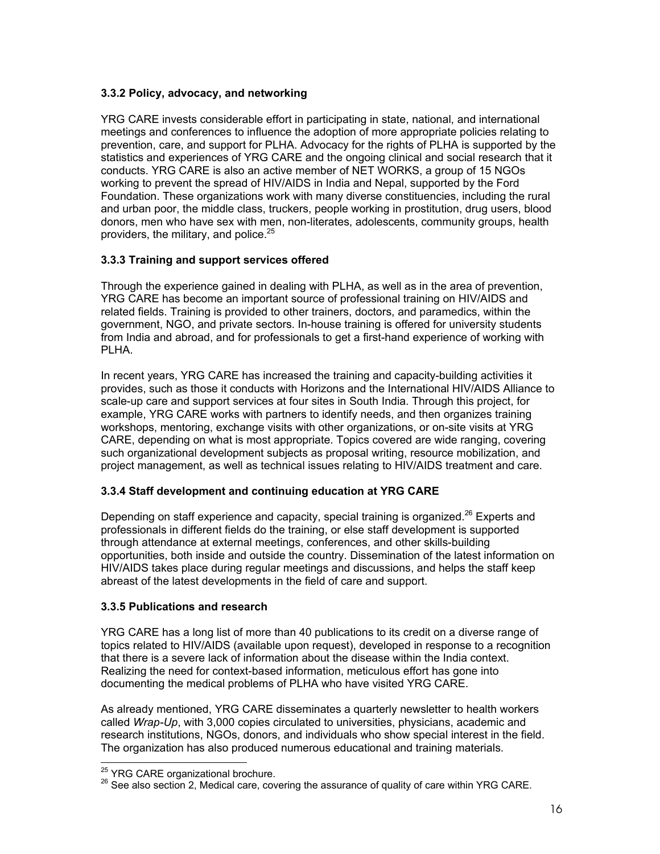# **3.3.2 Policy, advocacy, and networking**

YRG CARE invests considerable effort in participating in state, national, and international meetings and conferences to influence the adoption of more appropriate policies relating to prevention, care, and support for PLHA. Advocacy for the rights of PLHA is supported by the statistics and experiences of YRG CARE and the ongoing clinical and social research that it conducts. YRG CARE is also an active member of NET WORKS, a group of 15 NGOs working to prevent the spread of HIV/AIDS in India and Nepal, supported by the Ford Foundation. These organizations work with many diverse constituencies, including the rural and urban poor, the middle class, truckers, people working in prostitution, drug users, blood donors, men who have sex with men, non-literates, adolescents, community groups, health providers, the military, and police. $25$ 

# **3.3.3 Training and support services offered**

Through the experience gained in dealing with PLHA, as well as in the area of prevention, YRG CARE has become an important source of professional training on HIV/AIDS and related fields. Training is provided to other trainers, doctors, and paramedics, within the government, NGO, and private sectors. In-house training is offered for university students from India and abroad, and for professionals to get a first-hand experience of working with PLHA.

In recent years, YRG CARE has increased the training and capacity-building activities it provides, such as those it conducts with Horizons and the International HIV/AIDS Alliance to scale-up care and support services at four sites in South India. Through this project, for example, YRG CARE works with partners to identify needs, and then organizes training workshops, mentoring, exchange visits with other organizations, or on-site visits at YRG CARE, depending on what is most appropriate. Topics covered are wide ranging, covering such organizational development subjects as proposal writing, resource mobilization, and project management, as well as technical issues relating to HIV/AIDS treatment and care.

#### **3.3.4 Staff development and continuing education at YRG CARE**

Depending on staff experience and capacity, special training is organized.<sup>26</sup> Experts and professionals in different fields do the training, or else staff development is supported through attendance at external meetings, conferences, and other skills-building opportunities, both inside and outside the country. Dissemination of the latest information on HIV/AIDS takes place during regular meetings and discussions, and helps the staff keep abreast of the latest developments in the field of care and support.

#### **3.3.5 Publications and research**

YRG CARE has a long list of more than 40 publications to its credit on a diverse range of topics related to HIV/AIDS (available upon request), developed in response to a recognition that there is a severe lack of information about the disease within the India context. Realizing the need for context-based information, meticulous effort has gone into documenting the medical problems of PLHA who have visited YRG CARE.

As already mentioned, YRG CARE disseminates a quarterly newsletter to health workers called *Wrap-Up*, with 3,000 copies circulated to universities, physicians, academic and research institutions, NGOs, donors, and individuals who show special interest in the field. The organization has also produced numerous educational and training materials.

<sup>&</sup>lt;sup>25</sup> YRG CARE organizational brochure.

 $^{26}$  See also section 2, Medical care, covering the assurance of quality of care within YRG CARE.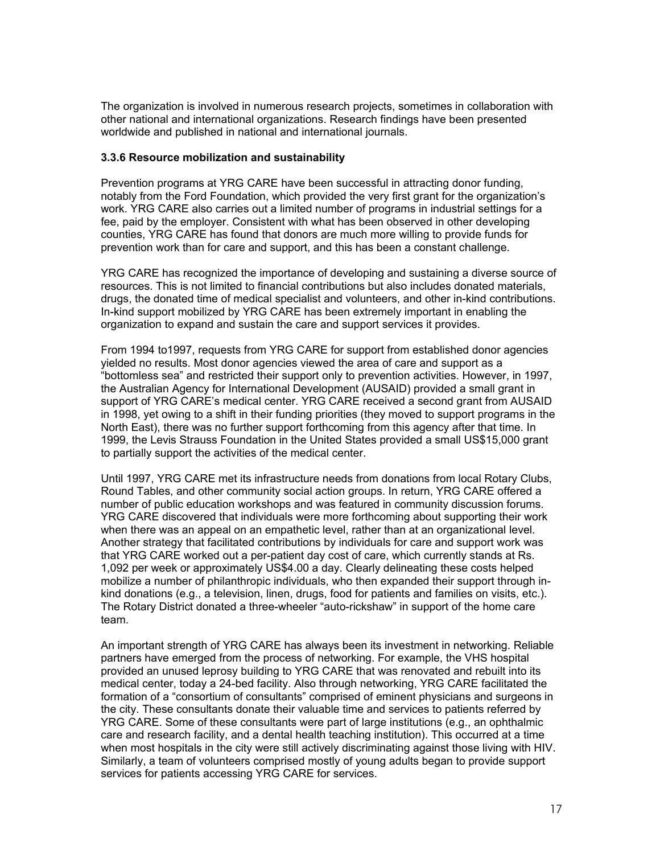The organization is involved in numerous research projects, sometimes in collaboration with other national and international organizations. Research findings have been presented worldwide and published in national and international journals.

#### **3.3.6 Resource mobilization and sustainability**

Prevention programs at YRG CARE have been successful in attracting donor funding, notably from the Ford Foundation, which provided the very first grant for the organization's work. YRG CARE also carries out a limited number of programs in industrial settings for a fee, paid by the employer. Consistent with what has been observed in other developing counties, YRG CARE has found that donors are much more willing to provide funds for prevention work than for care and support, and this has been a constant challenge.

YRG CARE has recognized the importance of developing and sustaining a diverse source of resources. This is not limited to financial contributions but also includes donated materials, drugs, the donated time of medical specialist and volunteers, and other in-kind contributions. In-kind support mobilized by YRG CARE has been extremely important in enabling the organization to expand and sustain the care and support services it provides.

From 1994 to1997, requests from YRG CARE for support from established donor agencies yielded no results. Most donor agencies viewed the area of care and support as a "bottomless sea" and restricted their support only to prevention activities. However, in 1997, the Australian Agency for International Development (AUSAID) provided a small grant in support of YRG CARE's medical center. YRG CARE received a second grant from AUSAID in 1998, yet owing to a shift in their funding priorities (they moved to support programs in the North East), there was no further support forthcoming from this agency after that time. In 1999, the Levis Strauss Foundation in the United States provided a small US\$15,000 grant to partially support the activities of the medical center.

Until 1997, YRG CARE met its infrastructure needs from donations from local Rotary Clubs, Round Tables, and other community social action groups. In return, YRG CARE offered a number of public education workshops and was featured in community discussion forums. YRG CARE discovered that individuals were more forthcoming about supporting their work when there was an appeal on an empathetic level, rather than at an organizational level. Another strategy that facilitated contributions by individuals for care and support work was that YRG CARE worked out a per-patient day cost of care, which currently stands at Rs. 1,092 per week or approximately US\$4.00 a day. Clearly delineating these costs helped mobilize a number of philanthropic individuals, who then expanded their support through inkind donations (e.g., a television, linen, drugs, food for patients and families on visits, etc.). The Rotary District donated a three-wheeler "auto-rickshaw" in support of the home care team.

An important strength of YRG CARE has always been its investment in networking. Reliable partners have emerged from the process of networking. For example, the VHS hospital provided an unused leprosy building to YRG CARE that was renovated and rebuilt into its medical center, today a 24-bed facility. Also through networking, YRG CARE facilitated the formation of a "consortium of consultants" comprised of eminent physicians and surgeons in the city. These consultants donate their valuable time and services to patients referred by YRG CARE. Some of these consultants were part of large institutions (e.g., an ophthalmic care and research facility, and a dental health teaching institution). This occurred at a time when most hospitals in the city were still actively discriminating against those living with HIV. Similarly, a team of volunteers comprised mostly of young adults began to provide support services for patients accessing YRG CARE for services.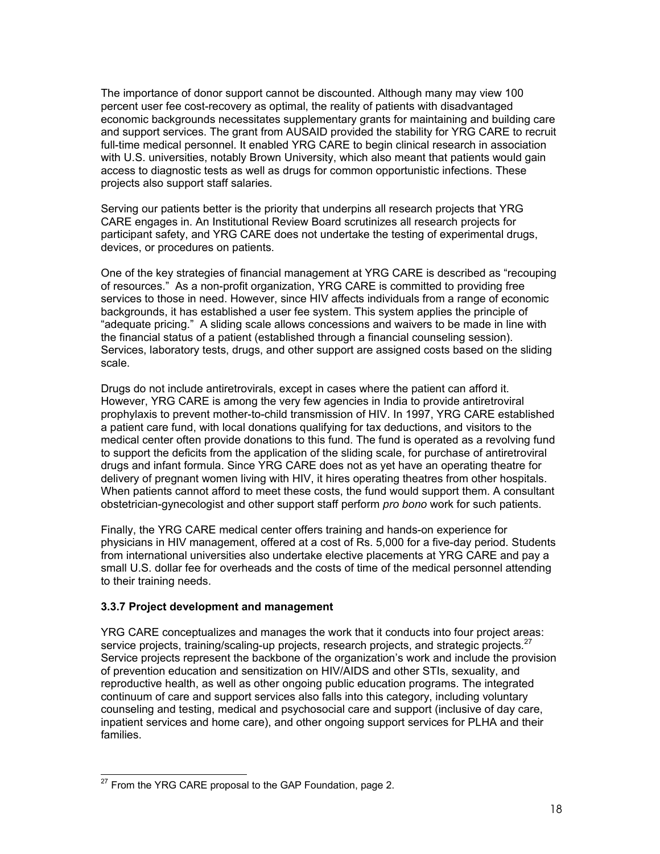The importance of donor support cannot be discounted. Although many may view 100 percent user fee cost-recovery as optimal, the reality of patients with disadvantaged economic backgrounds necessitates supplementary grants for maintaining and building care and support services. The grant from AUSAID provided the stability for YRG CARE to recruit full-time medical personnel. It enabled YRG CARE to begin clinical research in association with U.S. universities, notably Brown University, which also meant that patients would gain access to diagnostic tests as well as drugs for common opportunistic infections. These projects also support staff salaries.

Serving our patients better is the priority that underpins all research projects that YRG CARE engages in. An Institutional Review Board scrutinizes all research projects for participant safety, and YRG CARE does not undertake the testing of experimental drugs, devices, or procedures on patients.

One of the key strategies of financial management at YRG CARE is described as "recouping of resources." As a non-profit organization, YRG CARE is committed to providing free services to those in need. However, since HIV affects individuals from a range of economic backgrounds, it has established a user fee system. This system applies the principle of "adequate pricing." A sliding scale allows concessions and waivers to be made in line with the financial status of a patient (established through a financial counseling session). Services, laboratory tests, drugs, and other support are assigned costs based on the sliding scale.

Drugs do not include antiretrovirals, except in cases where the patient can afford it. However, YRG CARE is among the very few agencies in India to provide antiretroviral prophylaxis to prevent mother-to-child transmission of HIV. In 1997, YRG CARE established a patient care fund, with local donations qualifying for tax deductions, and visitors to the medical center often provide donations to this fund. The fund is operated as a revolving fund to support the deficits from the application of the sliding scale, for purchase of antiretroviral drugs and infant formula. Since YRG CARE does not as yet have an operating theatre for delivery of pregnant women living with HIV, it hires operating theatres from other hospitals. When patients cannot afford to meet these costs, the fund would support them. A consultant obstetrician-gynecologist and other support staff perform *pro bono* work for such patients.

Finally, the YRG CARE medical center offers training and hands-on experience for physicians in HIV management, offered at a cost of Rs. 5,000 for a five-day period. Students from international universities also undertake elective placements at YRG CARE and pay a small U.S. dollar fee for overheads and the costs of time of the medical personnel attending to their training needs.

#### **3.3.7 Project development and management**

YRG CARE conceptualizes and manages the work that it conducts into four project areas: service projects, training/scaling-up projects, research projects, and strategic projects.<sup>27</sup> Service projects represent the backbone of the organization's work and include the provision of prevention education and sensitization on HIV/AIDS and other STIs, sexuality, and reproductive health, as well as other ongoing public education programs. The integrated continuum of care and support services also falls into this category, including voluntary counseling and testing, medical and psychosocial care and support (inclusive of day care, inpatient services and home care), and other ongoing support services for PLHA and their families.

l

 $27$  From the YRG CARE proposal to the GAP Foundation, page 2.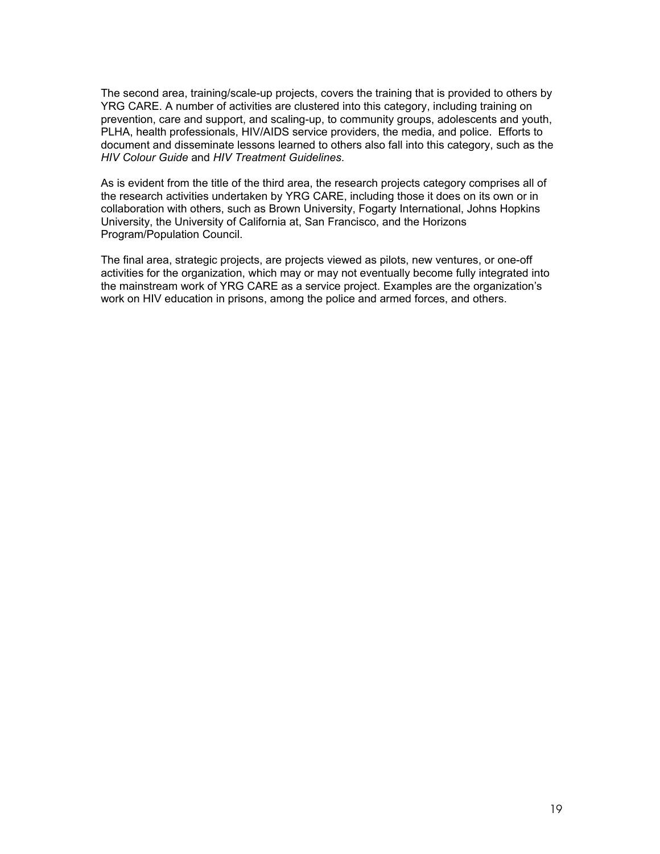The second area, training/scale-up projects, covers the training that is provided to others by YRG CARE. A number of activities are clustered into this category, including training on prevention, care and support, and scaling-up, to community groups, adolescents and youth, PLHA, health professionals, HIV/AIDS service providers, the media, and police. Efforts to document and disseminate lessons learned to others also fall into this category, such as the *HIV Colour Guide* and *HIV Treatment Guidelines*.

As is evident from the title of the third area, the research projects category comprises all of the research activities undertaken by YRG CARE, including those it does on its own or in collaboration with others, such as Brown University, Fogarty International, Johns Hopkins University, the University of California at, San Francisco, and the Horizons Program/Population Council.

The final area, strategic projects, are projects viewed as pilots, new ventures, or one-off activities for the organization, which may or may not eventually become fully integrated into the mainstream work of YRG CARE as a service project. Examples are the organization's work on HIV education in prisons, among the police and armed forces, and others.